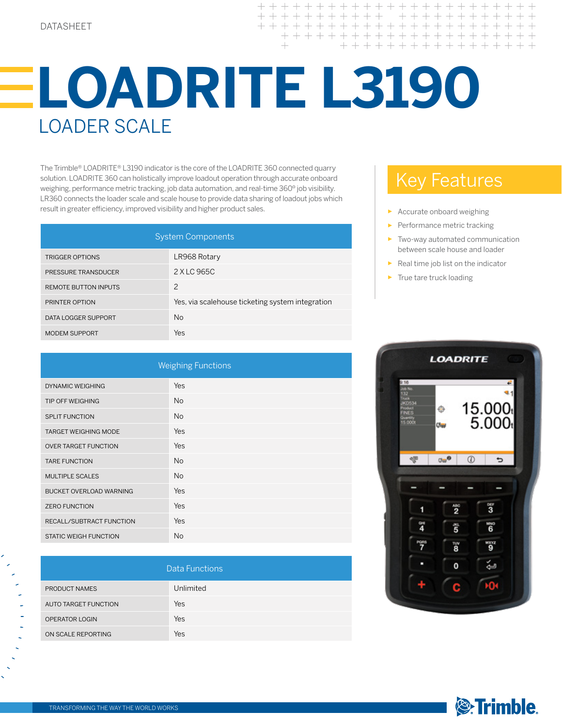## DATASHEET

 $+++++$  $++$  $+ + +$  $+ + + + + + +$ 

## **LOADRITE L3190**  LOADER SCALE

The Trimble® LOADRITE® L3190 indicator is the core of the LOADRITE 360 connected quarry solution. LOADRITE 360 can holistically improve loadout operation through accurate onboard weighing, performance metric tracking, job data automation, and real-time 360º job visibility. LR360 connects the loader scale and scale house to provide data sharing of loadout jobs which result in greater efficiency, improved visibility and higher product sales.

| <b>System Components</b>    |                                                  |
|-----------------------------|--------------------------------------------------|
| <b>TRIGGER OPTIONS</b>      | LR968 Rotary                                     |
| <b>PRESSURE TRANSDUCER</b>  | 2 X LC 965C                                      |
| <b>REMOTE BUTTON INPUTS</b> | $\mathcal{P}$                                    |
| PRINTER OPTION              | Yes, via scalehouse ticketing system integration |
| DATA LOGGER SUPPORT         | <b>No</b>                                        |
| <b>MODEM SUPPORT</b>        | Yes                                              |

| <b>Weighing Functions</b>    |           |  |
|------------------------------|-----------|--|
| <b>DYNAMIC WEIGHING</b>      | Yes       |  |
| TIP OFF WEIGHING             | <b>No</b> |  |
| <b>SPLIT FUNCTION</b>        | <b>No</b> |  |
| <b>TARGET WEIGHING MODE</b>  | Yes       |  |
| <b>OVER TARGET FUNCTION</b>  | Yes       |  |
| <b>TARE FUNCTION</b>         | <b>No</b> |  |
| <b>MULTIPLE SCALES</b>       | <b>No</b> |  |
| BUCKET OVERLOAD WARNING      | Yes       |  |
| <b>ZERO FUNCTION</b>         | Yes       |  |
| RECALL/SUBTRACT FUNCTION     | Yes       |  |
| <b>STATIC WEIGH FUNCTION</b> | <b>No</b> |  |

| Data Functions        |            |
|-----------------------|------------|
| <b>PRODUCT NAMES</b>  | Unlimited  |
| AUTO TARGET FUNCTION  | <b>Yes</b> |
| <b>OPERATOR LOGIN</b> | Yes        |
| ON SCALE REPORTING    | Yes        |

## Key Features

- ► Accurate onboard weighing
- Performance metric tracking
- ► Two-way automated communication between scale house and loader
- ► Real time job list on the indicator
- True tare truck loading